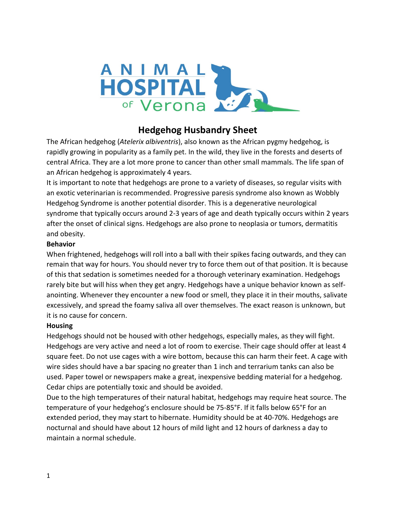

# **Hedgehog Husbandry Sheet**

The African hedgehog (*Atelerix albiventris*), also known as the African pygmy hedgehog, is rapidly growing in popularity as a family pet. In the wild, they live in the forests and deserts of central Africa. They are a lot more prone to cancer than other small mammals. The life span of an African hedgehog is approximately 4 years.

It is important to note that hedgehogs are prone to a variety of diseases, so regular visits with an exotic veterinarian is recommended. Progressive paresis syndrome also known as Wobbly Hedgehog Syndrome is another potential disorder. This is a degenerative neurological syndrome that typically occurs around 2-3 years of age and death typically occurs within 2 years after the onset of clinical signs. Hedgehogs are also prone to neoplasia or tumors, dermatitis and obesity.

#### **Behavior**

When frightened, hedgehogs will roll into a ball with their spikes facing outwards, and they can remain that way for hours. You should never try to force them out of that position. It is because of this that sedation is sometimes needed for a thorough veterinary examination. Hedgehogs rarely bite but will hiss when they get angry. Hedgehogs have a unique behavior known as selfanointing. Whenever they encounter a new food or smell, they place it in their mouths, salivate excessively, and spread the foamy saliva all over themselves. The exact reason is unknown, but it is no cause for concern.

#### **Housing**

Hedgehogs should not be housed with other hedgehogs, especially males, as they will fight. Hedgehogs are very active and need a lot of room to exercise. Their cage should offer at least 4 square feet. Do not use cages with a wire bottom, because this can harm their feet. A cage with wire sides should have a bar spacing no greater than 1 inch and terrarium tanks can also be used. Paper towel or newspapers make a great, inexpensive bedding material for a hedgehog. Cedar chips are potentially toxic and should be avoided.

Due to the high temperatures of their natural habitat, hedgehogs may require heat source. The temperature of your hedgehog's enclosure should be 75-85°F. If it falls below 65°F for an extended period, they may start to hibernate. Humidity should be at 40-70%. Hedgehogs are nocturnal and should have about 12 hours of mild light and 12 hours of darkness a day to maintain a normal schedule.